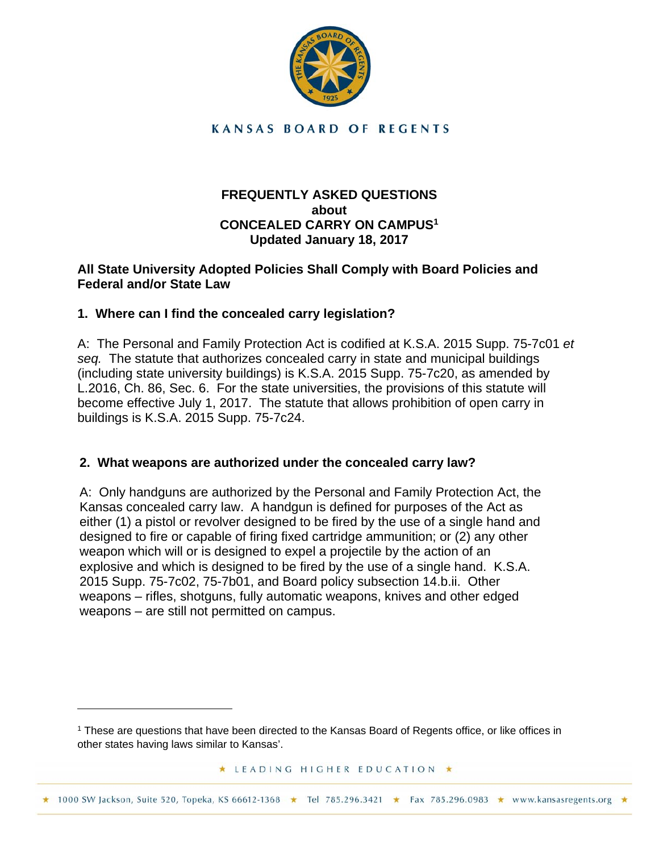

**KANSAS BOARD OF REGENTS** 

## **FREQUENTLY ASKED QUESTIONS about CONCEALED CARRY ON CAMPUS1 Updated January 18, 2017**

## **All State University Adopted Policies Shall Comply with Board Policies and Federal and/or State Law**

# **1. Where can I find the concealed carry legislation?**

1

A: The Personal and Family Protection Act is codified at K.S.A. 2015 Supp. 75-7c01 *et seq.* The statute that authorizes concealed carry in state and municipal buildings (including state university buildings) is K.S.A. 2015 Supp. 75-7c20, as amended by L.2016, Ch. 86, Sec. 6. For the state universities, the provisions of this statute will become effective July 1, 2017. The statute that allows prohibition of open carry in buildings is K.S.A. 2015 Supp. 75-7c24.

## **2. What weapons are authorized under the concealed carry law?**

A: Only handguns are authorized by the Personal and Family Protection Act, the Kansas concealed carry law. A handgun is defined for purposes of the Act as either (1) a pistol or revolver designed to be fired by the use of a single hand and designed to fire or capable of firing fixed cartridge ammunition; or (2) any other weapon which will or is designed to expel a projectile by the action of an explosive and which is designed to be fired by the use of a single hand. K.S.A. 2015 Supp. 75-7c02, 75-7b01, and Board policy subsection 14.b.ii. Other weapons – rifles, shotguns, fully automatic weapons, knives and other edged weapons – are still not permitted on campus.

★ LEADING HIGHER EDUCATION ★

\* 1000 SW Jackson, Suite 520, Topeka, KS 66612-1368 \* Tel 785.296.3421 \* Fax 785.296.0983 \* www.kansasregents.org \*

<sup>&</sup>lt;sup>1</sup> These are questions that have been directed to the Kansas Board of Regents office, or like offices in other states having laws similar to Kansas'.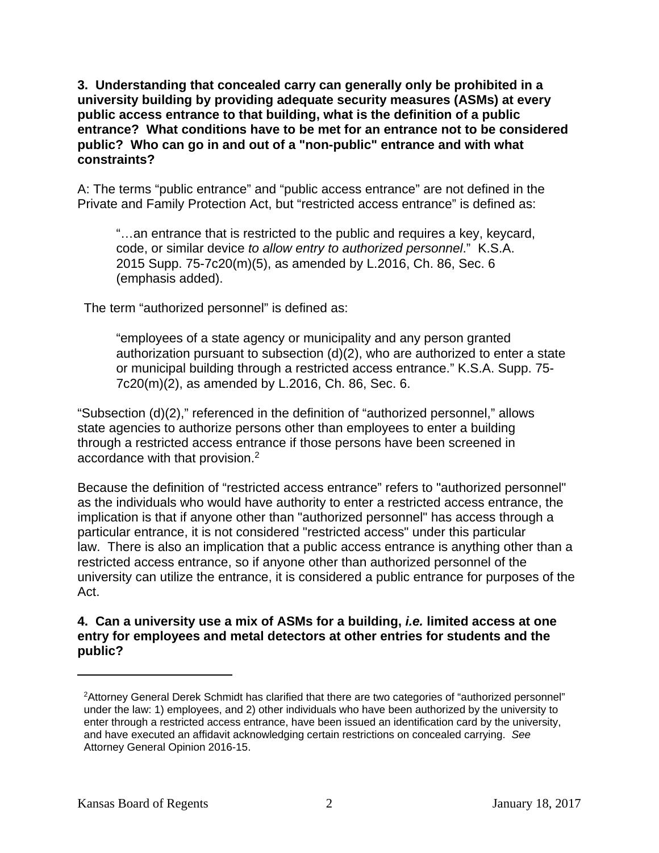**3. Understanding that concealed carry can generally only be prohibited in a university building by providing adequate security measures (ASMs) at every public access entrance to that building, what is the definition of a public entrance? What conditions have to be met for an entrance not to be considered public? Who can go in and out of a "non-public" entrance and with what constraints?** 

A: The terms "public entrance" and "public access entrance" are not defined in the Private and Family Protection Act, but "restricted access entrance" is defined as:

"…an entrance that is restricted to the public and requires a key, keycard, code, or similar device *to allow entry to authorized personnel*." K.S.A. 2015 Supp. 75-7c20(m)(5), as amended by L.2016, Ch. 86, Sec. 6 (emphasis added).

The term "authorized personnel" is defined as:

"employees of a state agency or municipality and any person granted authorization pursuant to subsection (d)(2), who are authorized to enter a state or municipal building through a restricted access entrance." K.S.A. Supp. 75- 7c20(m)(2), as amended by L.2016, Ch. 86, Sec. 6.

"Subsection (d)(2)," referenced in the definition of "authorized personnel," allows state agencies to authorize persons other than employees to enter a building through a restricted access entrance if those persons have been screened in accordance with that provision.2

Because the definition of "restricted access entrance" refers to "authorized personnel" as the individuals who would have authority to enter a restricted access entrance, the implication is that if anyone other than "authorized personnel" has access through a particular entrance, it is not considered "restricted access" under this particular law. There is also an implication that a public access entrance is anything other than a restricted access entrance, so if anyone other than authorized personnel of the university can utilize the entrance, it is considered a public entrance for purposes of the Act.

**4. Can a university use a mix of ASMs for a building,** *i.e.* **limited access at one entry for employees and metal detectors at other entries for students and the public?** 

<u>.</u>

<sup>2</sup>Attorney General Derek Schmidt has clarified that there are two categories of "authorized personnel" under the law: 1) employees, and 2) other individuals who have been authorized by the university to enter through a restricted access entrance, have been issued an identification card by the university, and have executed an affidavit acknowledging certain restrictions on concealed carrying. *See* Attorney General Opinion 2016-15.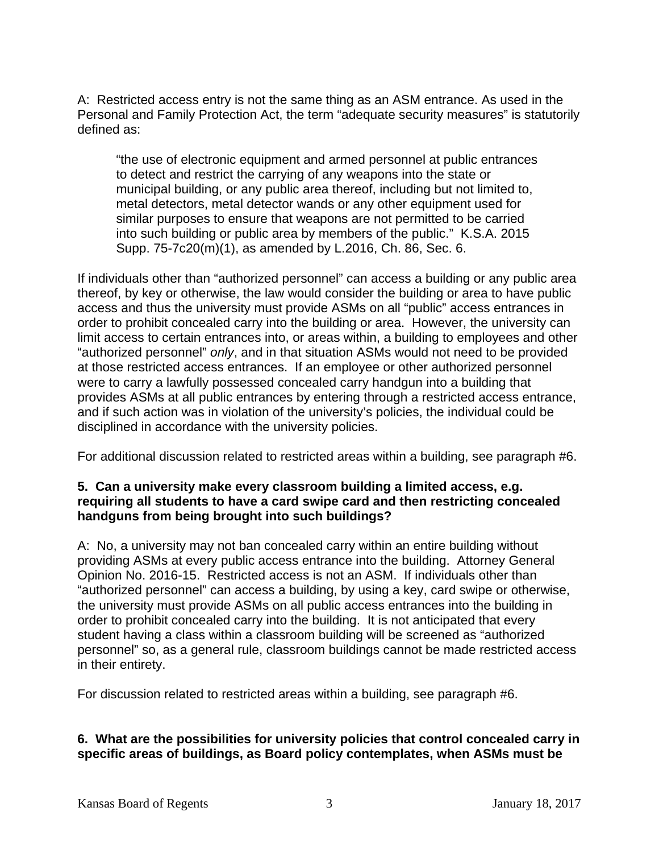A: Restricted access entry is not the same thing as an ASM entrance. As used in the Personal and Family Protection Act, the term "adequate security measures" is statutorily defined as:

"the use of electronic equipment and armed personnel at public entrances to detect and restrict the carrying of any weapons into the state or municipal building, or any public area thereof, including but not limited to, metal detectors, metal detector wands or any other equipment used for similar purposes to ensure that weapons are not permitted to be carried into such building or public area by members of the public." K.S.A. 2015 Supp. 75-7c20(m)(1), as amended by L.2016, Ch. 86, Sec. 6.

If individuals other than "authorized personnel" can access a building or any public area thereof, by key or otherwise, the law would consider the building or area to have public access and thus the university must provide ASMs on all "public" access entrances in order to prohibit concealed carry into the building or area. However, the university can limit access to certain entrances into, or areas within, a building to employees and other "authorized personnel" *only*, and in that situation ASMs would not need to be provided at those restricted access entrances. If an employee or other authorized personnel were to carry a lawfully possessed concealed carry handgun into a building that provides ASMs at all public entrances by entering through a restricted access entrance, and if such action was in violation of the university's policies, the individual could be disciplined in accordance with the university policies.

For additional discussion related to restricted areas within a building, see paragraph #6.

## **5. Can a university make every classroom building a limited access, e.g. requiring all students to have a card swipe card and then restricting concealed handguns from being brought into such buildings?**

A: No, a university may not ban concealed carry within an entire building without providing ASMs at every public access entrance into the building. Attorney General Opinion No. 2016-15. Restricted access is not an ASM. If individuals other than "authorized personnel" can access a building, by using a key, card swipe or otherwise, the university must provide ASMs on all public access entrances into the building in order to prohibit concealed carry into the building. It is not anticipated that every student having a class within a classroom building will be screened as "authorized personnel" so, as a general rule, classroom buildings cannot be made restricted access in their entirety.

For discussion related to restricted areas within a building, see paragraph #6.

# **6. What are the possibilities for university policies that control concealed carry in specific areas of buildings, as Board policy contemplates, when ASMs must be**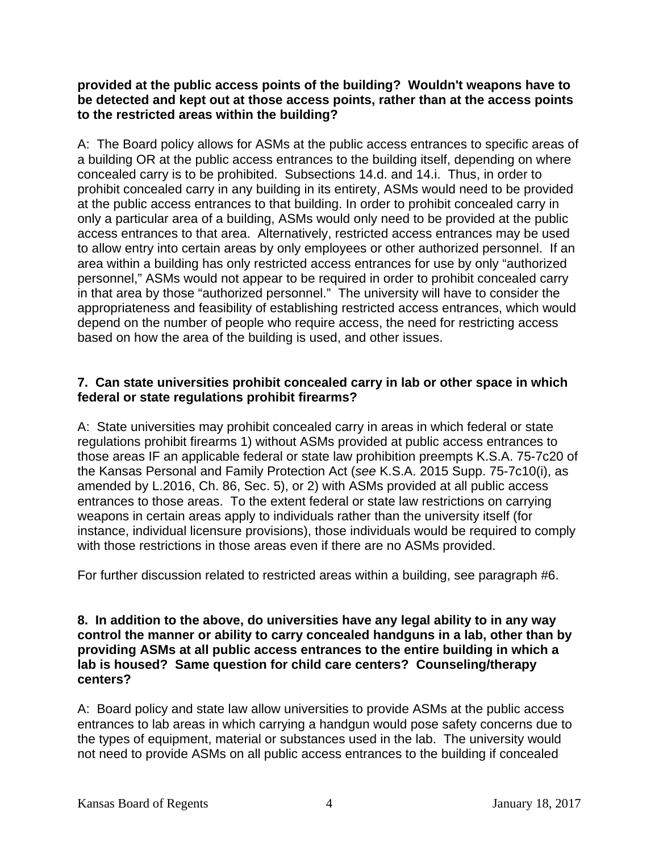## **provided at the public access points of the building? Wouldn't weapons have to be detected and kept out at those access points, rather than at the access points to the restricted areas within the building?**

A: The Board policy allows for ASMs at the public access entrances to specific areas of a building OR at the public access entrances to the building itself, depending on where concealed carry is to be prohibited. Subsections 14.d. and 14.i. Thus, in order to prohibit concealed carry in any building in its entirety, ASMs would need to be provided at the public access entrances to that building. In order to prohibit concealed carry in only a particular area of a building, ASMs would only need to be provided at the public access entrances to that area. Alternatively, restricted access entrances may be used to allow entry into certain areas by only employees or other authorized personnel. If an area within a building has only restricted access entrances for use by only "authorized personnel," ASMs would not appear to be required in order to prohibit concealed carry in that area by those "authorized personnel." The university will have to consider the appropriateness and feasibility of establishing restricted access entrances, which would depend on the number of people who require access, the need for restricting access based on how the area of the building is used, and other issues.

## **7. Can state universities prohibit concealed carry in lab or other space in which federal or state regulations prohibit firearms?**

A: State universities may prohibit concealed carry in areas in which federal or state regulations prohibit firearms 1) without ASMs provided at public access entrances to those areas IF an applicable federal or state law prohibition preempts K.S.A. 75-7c20 of the Kansas Personal and Family Protection Act (*see* K.S.A. 2015 Supp. 75-7c10(i), as amended by L.2016, Ch. 86, Sec. 5), or 2) with ASMs provided at all public access entrances to those areas. To the extent federal or state law restrictions on carrying weapons in certain areas apply to individuals rather than the university itself (for instance, individual licensure provisions), those individuals would be required to comply with those restrictions in those areas even if there are no ASMs provided.

For further discussion related to restricted areas within a building, see paragraph #6.

#### **8. In addition to the above, do universities have any legal ability to in any way control the manner or ability to carry concealed handguns in a lab, other than by providing ASMs at all public access entrances to the entire building in which a lab is housed? Same question for child care centers? Counseling/therapy centers?**

A: Board policy and state law allow universities to provide ASMs at the public access entrances to lab areas in which carrying a handgun would pose safety concerns due to the types of equipment, material or substances used in the lab. The university would not need to provide ASMs on all public access entrances to the building if concealed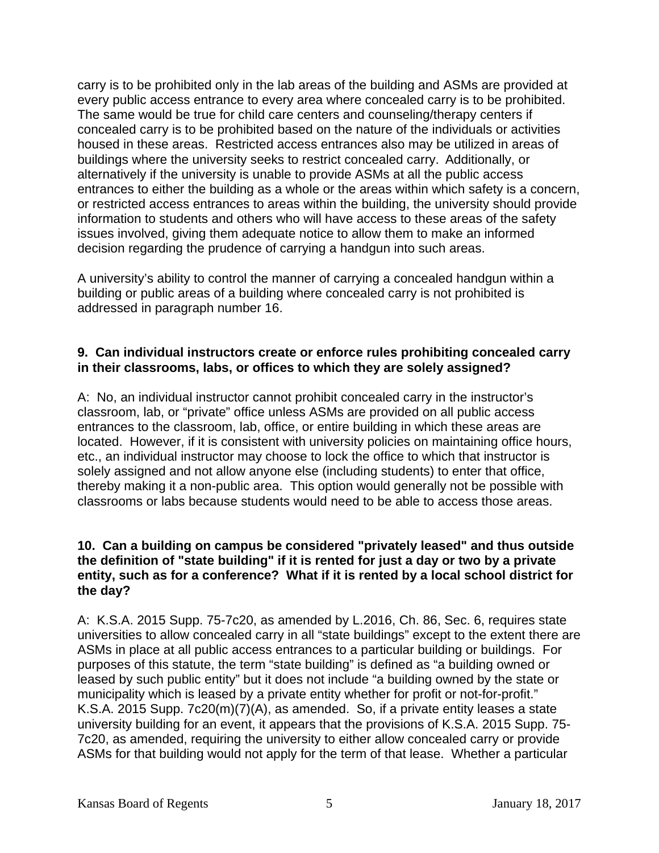carry is to be prohibited only in the lab areas of the building and ASMs are provided at every public access entrance to every area where concealed carry is to be prohibited. The same would be true for child care centers and counseling/therapy centers if concealed carry is to be prohibited based on the nature of the individuals or activities housed in these areas. Restricted access entrances also may be utilized in areas of buildings where the university seeks to restrict concealed carry. Additionally, or alternatively if the university is unable to provide ASMs at all the public access entrances to either the building as a whole or the areas within which safety is a concern, or restricted access entrances to areas within the building, the university should provide information to students and others who will have access to these areas of the safety issues involved, giving them adequate notice to allow them to make an informed decision regarding the prudence of carrying a handgun into such areas.

A university's ability to control the manner of carrying a concealed handgun within a building or public areas of a building where concealed carry is not prohibited is addressed in paragraph number 16.

## **9. Can individual instructors create or enforce rules prohibiting concealed carry in their classrooms, labs, or offices to which they are solely assigned?**

A: No, an individual instructor cannot prohibit concealed carry in the instructor's classroom, lab, or "private" office unless ASMs are provided on all public access entrances to the classroom, lab, office, or entire building in which these areas are located. However, if it is consistent with university policies on maintaining office hours, etc., an individual instructor may choose to lock the office to which that instructor is solely assigned and not allow anyone else (including students) to enter that office, thereby making it a non-public area. This option would generally not be possible with classrooms or labs because students would need to be able to access those areas.

## **10. Can a building on campus be considered "privately leased" and thus outside the definition of "state building" if it is rented for just a day or two by a private entity, such as for a conference? What if it is rented by a local school district for the day?**

A: K.S.A. 2015 Supp. 75-7c20, as amended by L.2016, Ch. 86, Sec. 6, requires state universities to allow concealed carry in all "state buildings" except to the extent there are ASMs in place at all public access entrances to a particular building or buildings. For purposes of this statute, the term "state building" is defined as "a building owned or leased by such public entity" but it does not include "a building owned by the state or municipality which is leased by a private entity whether for profit or not-for-profit." K.S.A. 2015 Supp. 7c20(m)(7)(A), as amended. So, if a private entity leases a state university building for an event, it appears that the provisions of K.S.A. 2015 Supp. 75- 7c20, as amended, requiring the university to either allow concealed carry or provide ASMs for that building would not apply for the term of that lease. Whether a particular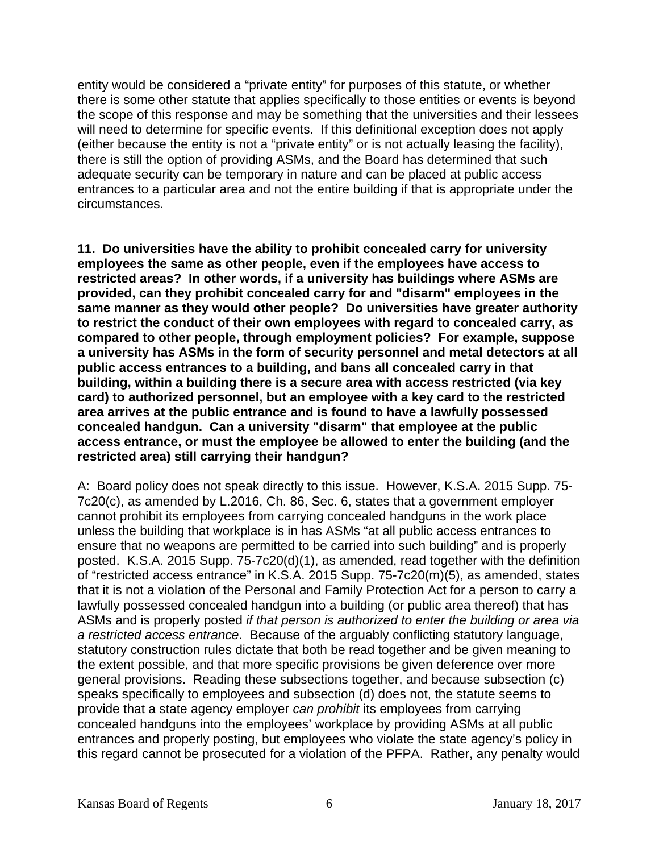entity would be considered a "private entity" for purposes of this statute, or whether there is some other statute that applies specifically to those entities or events is beyond the scope of this response and may be something that the universities and their lessees will need to determine for specific events. If this definitional exception does not apply (either because the entity is not a "private entity" or is not actually leasing the facility), there is still the option of providing ASMs, and the Board has determined that such adequate security can be temporary in nature and can be placed at public access entrances to a particular area and not the entire building if that is appropriate under the circumstances.

**11. Do universities have the ability to prohibit concealed carry for university employees the same as other people, even if the employees have access to restricted areas? In other words, if a university has buildings where ASMs are provided, can they prohibit concealed carry for and "disarm" employees in the same manner as they would other people? Do universities have greater authority to restrict the conduct of their own employees with regard to concealed carry, as compared to other people, through employment policies? For example, suppose a university has ASMs in the form of security personnel and metal detectors at all public access entrances to a building, and bans all concealed carry in that building, within a building there is a secure area with access restricted (via key card) to authorized personnel, but an employee with a key card to the restricted area arrives at the public entrance and is found to have a lawfully possessed concealed handgun. Can a university "disarm" that employee at the public access entrance, or must the employee be allowed to enter the building (and the restricted area) still carrying their handgun?** 

A: Board policy does not speak directly to this issue. However, K.S.A. 2015 Supp. 75- 7c20(c), as amended by L.2016, Ch. 86, Sec. 6, states that a government employer cannot prohibit its employees from carrying concealed handguns in the work place unless the building that workplace is in has ASMs "at all public access entrances to ensure that no weapons are permitted to be carried into such building" and is properly posted. K.S.A. 2015 Supp. 75-7c20(d)(1), as amended, read together with the definition of "restricted access entrance" in K.S.A. 2015 Supp. 75-7c20(m)(5), as amended, states that it is not a violation of the Personal and Family Protection Act for a person to carry a lawfully possessed concealed handgun into a building (or public area thereof) that has ASMs and is properly posted *if that person is authorized to enter the building or area via a restricted access entrance*. Because of the arguably conflicting statutory language, statutory construction rules dictate that both be read together and be given meaning to the extent possible, and that more specific provisions be given deference over more general provisions. Reading these subsections together, and because subsection (c) speaks specifically to employees and subsection (d) does not, the statute seems to provide that a state agency employer *can prohibit* its employees from carrying concealed handguns into the employees' workplace by providing ASMs at all public entrances and properly posting, but employees who violate the state agency's policy in this regard cannot be prosecuted for a violation of the PFPA. Rather, any penalty would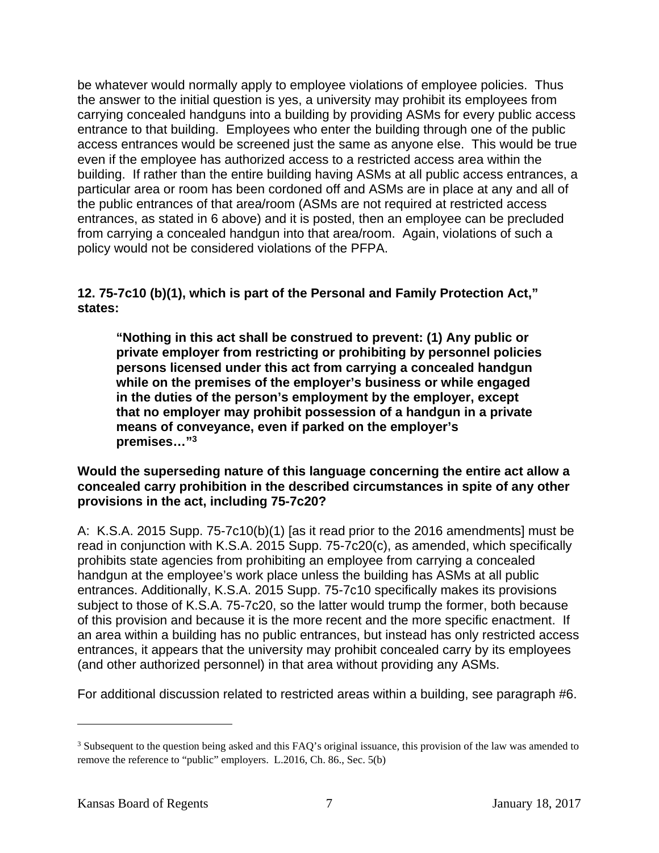be whatever would normally apply to employee violations of employee policies. Thus the answer to the initial question is yes, a university may prohibit its employees from carrying concealed handguns into a building by providing ASMs for every public access entrance to that building. Employees who enter the building through one of the public access entrances would be screened just the same as anyone else. This would be true even if the employee has authorized access to a restricted access area within the building. If rather than the entire building having ASMs at all public access entrances, a particular area or room has been cordoned off and ASMs are in place at any and all of the public entrances of that area/room (ASMs are not required at restricted access entrances, as stated in 6 above) and it is posted, then an employee can be precluded from carrying a concealed handgun into that area/room. Again, violations of such a policy would not be considered violations of the PFPA.

**12. 75-7c10 (b)(1), which is part of the Personal and Family Protection Act," states:** 

**"Nothing in this act shall be construed to prevent: (1) Any public or private employer from restricting or prohibiting by personnel policies persons licensed under this act from carrying a concealed handgun while on the premises of the employer's business or while engaged in the duties of the person's employment by the employer, except that no employer may prohibit possession of a handgun in a private means of conveyance, even if parked on the employer's premises…"3** 

## **Would the superseding nature of this language concerning the entire act allow a concealed carry prohibition in the described circumstances in spite of any other provisions in the act, including 75-7c20?**

A: K.S.A. 2015 Supp. 75-7c10(b)(1) [as it read prior to the 2016 amendments] must be read in conjunction with K.S.A. 2015 Supp. 75-7c20(c), as amended, which specifically prohibits state agencies from prohibiting an employee from carrying a concealed handgun at the employee's work place unless the building has ASMs at all public entrances. Additionally, K.S.A. 2015 Supp. 75-7c10 specifically makes its provisions subject to those of K.S.A. 75-7c20, so the latter would trump the former, both because of this provision and because it is the more recent and the more specific enactment. If an area within a building has no public entrances, but instead has only restricted access entrances, it appears that the university may prohibit concealed carry by its employees (and other authorized personnel) in that area without providing any ASMs.

For additional discussion related to restricted areas within a building, see paragraph #6.

 $\overline{a}$ 

<sup>&</sup>lt;sup>3</sup> Subsequent to the question being asked and this FAQ's original issuance, this provision of the law was amended to remove the reference to "public" employers. L.2016, Ch. 86., Sec. 5(b)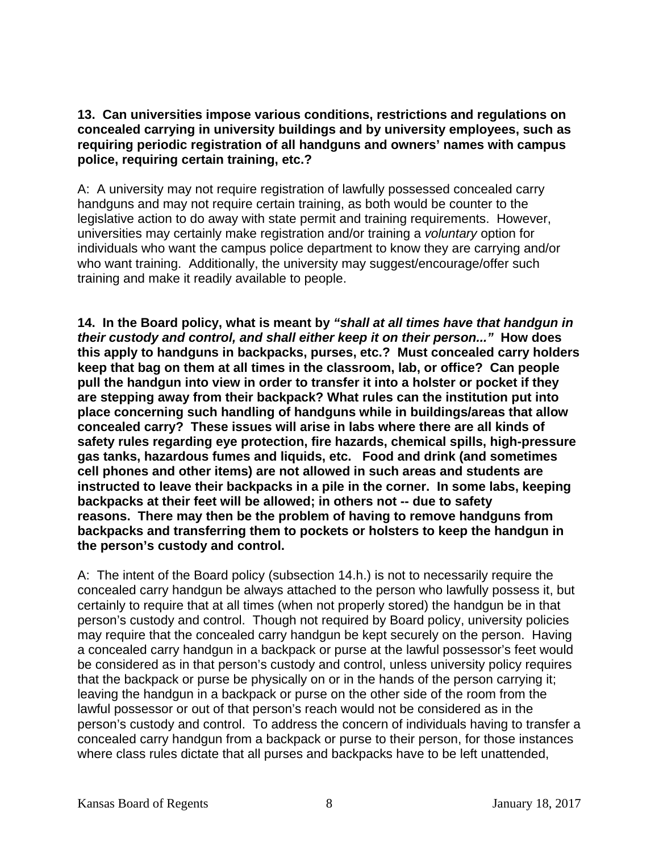**13. Can universities impose various conditions, restrictions and regulations on concealed carrying in university buildings and by university employees, such as requiring periodic registration of all handguns and owners' names with campus police, requiring certain training, etc.?** 

A: A university may not require registration of lawfully possessed concealed carry handguns and may not require certain training, as both would be counter to the legislative action to do away with state permit and training requirements. However, universities may certainly make registration and/or training a *voluntary* option for individuals who want the campus police department to know they are carrying and/or who want training. Additionally, the university may suggest/encourage/offer such training and make it readily available to people.

**14. In the Board policy, what is meant by** *"shall at all times have that handgun in their custody and control, and shall either keep it on their person..."* **How does this apply to handguns in backpacks, purses, etc.? Must concealed carry holders keep that bag on them at all times in the classroom, lab, or office? Can people pull the handgun into view in order to transfer it into a holster or pocket if they are stepping away from their backpack? What rules can the institution put into place concerning such handling of handguns while in buildings/areas that allow concealed carry? These issues will arise in labs where there are all kinds of safety rules regarding eye protection, fire hazards, chemical spills, high-pressure gas tanks, hazardous fumes and liquids, etc. Food and drink (and sometimes cell phones and other items) are not allowed in such areas and students are instructed to leave their backpacks in a pile in the corner. In some labs, keeping backpacks at their feet will be allowed; in others not -- due to safety reasons. There may then be the problem of having to remove handguns from backpacks and transferring them to pockets or holsters to keep the handgun in the person's custody and control.** 

A: The intent of the Board policy (subsection 14.h.) is not to necessarily require the concealed carry handgun be always attached to the person who lawfully possess it, but certainly to require that at all times (when not properly stored) the handgun be in that person's custody and control. Though not required by Board policy, university policies may require that the concealed carry handgun be kept securely on the person. Having a concealed carry handgun in a backpack or purse at the lawful possessor's feet would be considered as in that person's custody and control, unless university policy requires that the backpack or purse be physically on or in the hands of the person carrying it; leaving the handgun in a backpack or purse on the other side of the room from the lawful possessor or out of that person's reach would not be considered as in the person's custody and control. To address the concern of individuals having to transfer a concealed carry handgun from a backpack or purse to their person, for those instances where class rules dictate that all purses and backpacks have to be left unattended,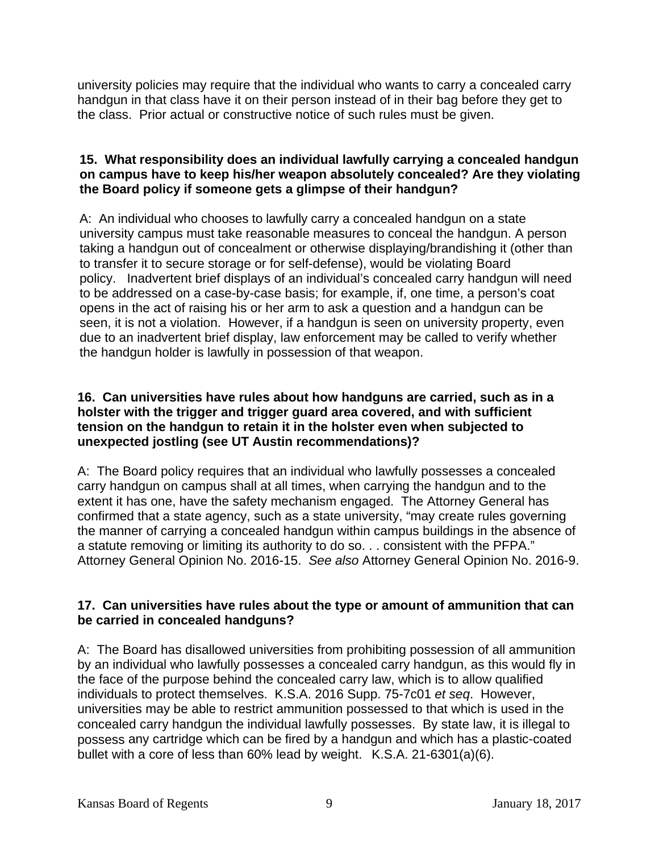university policies may require that the individual who wants to carry a concealed carry handgun in that class have it on their person instead of in their bag before they get to the class. Prior actual or constructive notice of such rules must be given.

## **15. What responsibility does an individual lawfully carrying a concealed handgun on campus have to keep his/her weapon absolutely concealed? Are they violating the Board policy if someone gets a glimpse of their handgun?**

A: An individual who chooses to lawfully carry a concealed handgun on a state university campus must take reasonable measures to conceal the handgun. A person taking a handgun out of concealment or otherwise displaying/brandishing it (other than to transfer it to secure storage or for self-defense), would be violating Board policy. Inadvertent brief displays of an individual's concealed carry handgun will need to be addressed on a case-by-case basis; for example, if, one time, a person's coat opens in the act of raising his or her arm to ask a question and a handgun can be seen, it is not a violation. However, if a handgun is seen on university property, even due to an inadvertent brief display, law enforcement may be called to verify whether the handgun holder is lawfully in possession of that weapon.

## **16. Can universities have rules about how handguns are carried, such as in a holster with the trigger and trigger guard area covered, and with sufficient tension on the handgun to retain it in the holster even when subjected to unexpected jostling (see UT Austin recommendations)?**

A: The Board policy requires that an individual who lawfully possesses a concealed carry handgun on campus shall at all times, when carrying the handgun and to the extent it has one, have the safety mechanism engaged. The Attorney General has confirmed that a state agency, such as a state university, "may create rules governing the manner of carrying a concealed handgun within campus buildings in the absence of a statute removing or limiting its authority to do so. . . consistent with the PFPA." Attorney General Opinion No. 2016-15. *See also* Attorney General Opinion No. 2016-9.

# **17. Can universities have rules about the type or amount of ammunition that can be carried in concealed handguns?**

A: The Board has disallowed universities from prohibiting possession of all ammunition by an individual who lawfully possesses a concealed carry handgun, as this would fly in the face of the purpose behind the concealed carry law, which is to allow qualified individuals to protect themselves. K.S.A. 2016 Supp. 75-7c01 *et seq*. However, universities may be able to restrict ammunition possessed to that which is used in the concealed carry handgun the individual lawfully possesses. By state law, it is illegal to possess any cartridge which can be fired by a handgun and which has a plastic-coated bullet with a core of less than 60% lead by weight. K.S.A. 21-6301(a)(6).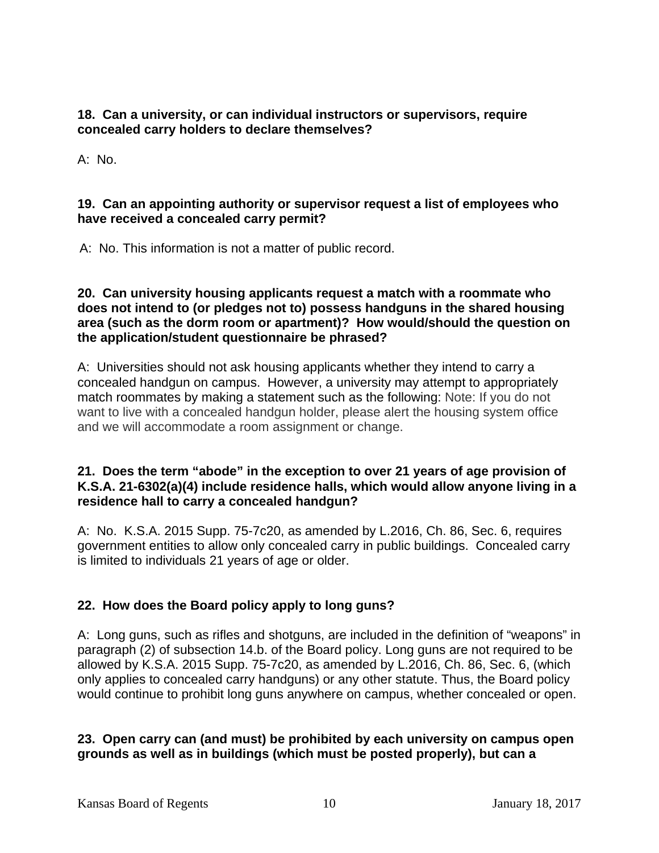**18. Can a university, or can individual instructors or supervisors, require concealed carry holders to declare themselves?** 

A: No.

## **19. Can an appointing authority or supervisor request a list of employees who have received a concealed carry permit?**

A: No. This information is not a matter of public record.

## **20. Can university housing applicants request a match with a roommate who does not intend to (or pledges not to) possess handguns in the shared housing area (such as the dorm room or apartment)? How would/should the question on the application/student questionnaire be phrased?**

A: Universities should not ask housing applicants whether they intend to carry a concealed handgun on campus. However, a university may attempt to appropriately match roommates by making a statement such as the following: Note: If you do not want to live with a concealed handgun holder, please alert the housing system office and we will accommodate a room assignment or change.

## **21. Does the term "abode" in the exception to over 21 years of age provision of K.S.A. 21-6302(a)(4) include residence halls, which would allow anyone living in a residence hall to carry a concealed handgun?**

A: No. K.S.A. 2015 Supp. 75-7c20, as amended by L.2016, Ch. 86, Sec. 6, requires government entities to allow only concealed carry in public buildings. Concealed carry is limited to individuals 21 years of age or older.

# **22. How does the Board policy apply to long guns?**

A: Long guns, such as rifles and shotguns, are included in the definition of "weapons" in paragraph (2) of subsection 14.b. of the Board policy. Long guns are not required to be allowed by K.S.A. 2015 Supp. 75-7c20, as amended by L.2016, Ch. 86, Sec. 6, (which only applies to concealed carry handguns) or any other statute. Thus, the Board policy would continue to prohibit long guns anywhere on campus, whether concealed or open.

# **23. Open carry can (and must) be prohibited by each university on campus open grounds as well as in buildings (which must be posted properly), but can a**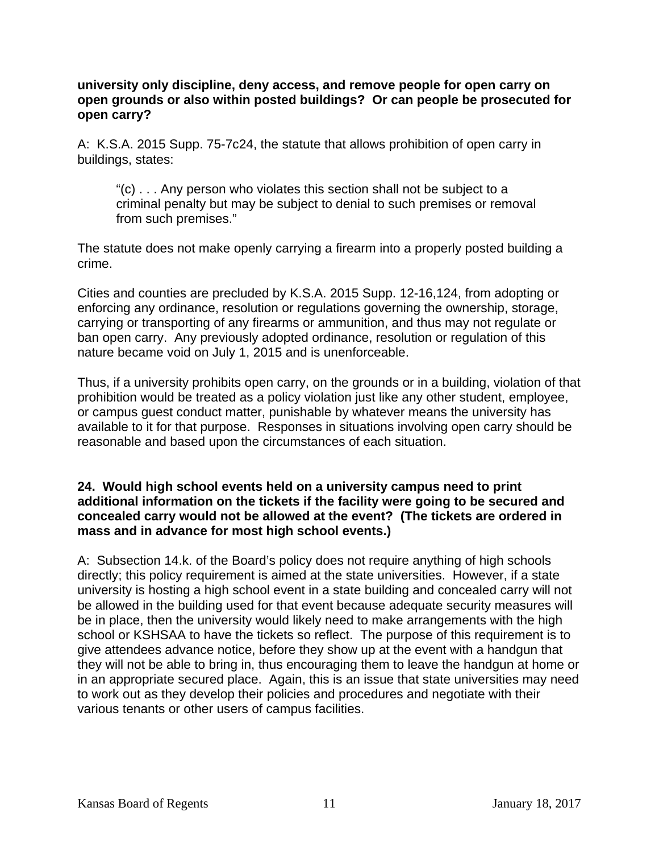### **university only discipline, deny access, and remove people for open carry on open grounds or also within posted buildings? Or can people be prosecuted for open carry?**

A: K.S.A. 2015 Supp. 75-7c24, the statute that allows prohibition of open carry in buildings, states:

"(c) . . . Any person who violates this section shall not be subject to a criminal penalty but may be subject to denial to such premises or removal from such premises."

The statute does not make openly carrying a firearm into a properly posted building a crime.

Cities and counties are precluded by K.S.A. 2015 Supp. 12-16,124, from adopting or enforcing any ordinance, resolution or regulations governing the ownership, storage, carrying or transporting of any firearms or ammunition, and thus may not regulate or ban open carry. Any previously adopted ordinance, resolution or regulation of this nature became void on July 1, 2015 and is unenforceable.

Thus, if a university prohibits open carry, on the grounds or in a building, violation of that prohibition would be treated as a policy violation just like any other student, employee, or campus guest conduct matter, punishable by whatever means the university has available to it for that purpose. Responses in situations involving open carry should be reasonable and based upon the circumstances of each situation.

## **24. Would high school events held on a university campus need to print additional information on the tickets if the facility were going to be secured and concealed carry would not be allowed at the event? (The tickets are ordered in mass and in advance for most high school events.)**

A: Subsection 14.k. of the Board's policy does not require anything of high schools directly; this policy requirement is aimed at the state universities. However, if a state university is hosting a high school event in a state building and concealed carry will not be allowed in the building used for that event because adequate security measures will be in place, then the university would likely need to make arrangements with the high school or KSHSAA to have the tickets so reflect. The purpose of this requirement is to give attendees advance notice, before they show up at the event with a handgun that they will not be able to bring in, thus encouraging them to leave the handgun at home or in an appropriate secured place. Again, this is an issue that state universities may need to work out as they develop their policies and procedures and negotiate with their various tenants or other users of campus facilities.